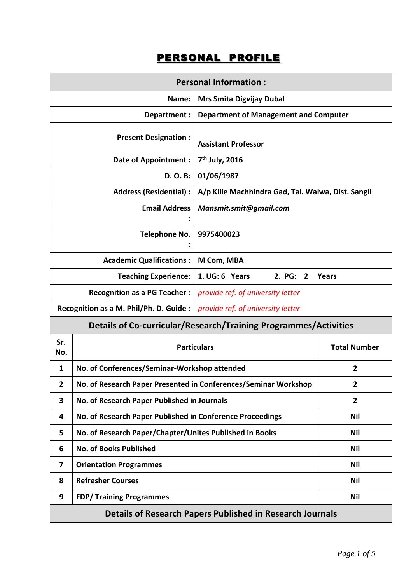## PERSONAL PROFILE

| <b>Personal Information:</b>                                            |                                                                         |                                                    |                     |  |  |
|-------------------------------------------------------------------------|-------------------------------------------------------------------------|----------------------------------------------------|---------------------|--|--|
| <b>Mrs Smita Digvijay Dubal</b><br>Name:                                |                                                                         |                                                    |                     |  |  |
| Department:                                                             |                                                                         | <b>Department of Management and Computer</b>       |                     |  |  |
| <b>Present Designation:</b>                                             |                                                                         | <b>Assistant Professor</b>                         |                     |  |  |
| <b>Date of Appointment:</b>                                             |                                                                         | 7 <sup>th</sup> July, 2016                         |                     |  |  |
| <b>D. O. B:</b>                                                         |                                                                         | 01/06/1987                                         |                     |  |  |
| <b>Address (Residential):</b>                                           |                                                                         | A/p Kille Machhindra Gad, Tal. Walwa, Dist. Sangli |                     |  |  |
| <b>Email Address</b>                                                    |                                                                         | Mansmit.smit@gmail.com                             |                     |  |  |
| Telephone No.                                                           |                                                                         | 9975400023                                         |                     |  |  |
|                                                                         | <b>Academic Qualifications:</b>                                         | M Com, MBA                                         |                     |  |  |
|                                                                         | <b>Teaching Experience:</b>                                             | 1. UG: 6 Years<br>2. PG:<br>$\mathbf{2}$           | Years               |  |  |
| <b>Recognition as a PG Teacher:</b>                                     |                                                                         | provide ref. of university letter                  |                     |  |  |
| Recognition as a M. Phil/Ph. D. Guide :                                 |                                                                         | provide ref. of university letter                  |                     |  |  |
| <b>Details of Co-curricular/Research/Training Programmes/Activities</b> |                                                                         |                                                    |                     |  |  |
| Sr.<br>No.                                                              | <b>Particulars</b>                                                      |                                                    | <b>Total Number</b> |  |  |
| 1                                                                       | No. of Conferences/Seminar-Workshop attended<br>$\overline{2}$          |                                                    |                     |  |  |
| $\overline{\mathbf{2}}$                                                 | No. of Research Paper Presented in Conferences/Seminar Workshop         |                                                    | 2                   |  |  |
| 3                                                                       | No. of Research Paper Published in Journals                             |                                                    | $\overline{2}$      |  |  |
| 4                                                                       | No. of Research Paper Published in Conference Proceedings<br><b>Nil</b> |                                                    |                     |  |  |
| 5                                                                       | No. of Research Paper/Chapter/Unites Published in Books                 |                                                    | <b>Nil</b>          |  |  |
| 6                                                                       | <b>No. of Books Published</b>                                           |                                                    | <b>Nil</b>          |  |  |
| 7                                                                       | <b>Orientation Programmes</b>                                           |                                                    | Nil                 |  |  |
| 8                                                                       | <b>Refresher Courses</b><br>Nil                                         |                                                    |                     |  |  |
| 9                                                                       | <b>FDP/ Training Programmes</b><br><b>Nil</b>                           |                                                    |                     |  |  |
| <b>Details of Research Papers Published in Research Journals</b>        |                                                                         |                                                    |                     |  |  |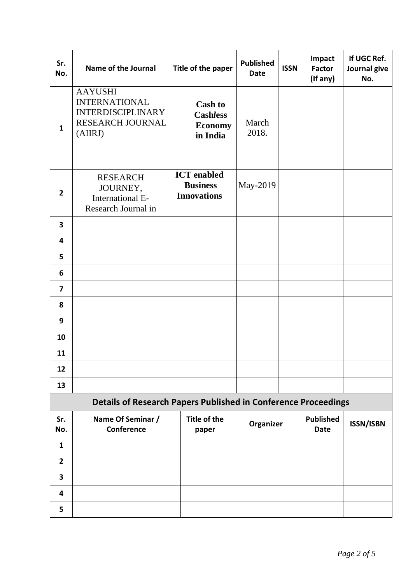| Sr.<br>No.                                                            | Name of the Journal                                                                               | Title of the paper                                              | <b>Published</b><br><b>Date</b> | <b>ISSN</b> | Impact<br><b>Factor</b><br>(If any) | If UGC Ref.<br>Journal give<br>No. |
|-----------------------------------------------------------------------|---------------------------------------------------------------------------------------------------|-----------------------------------------------------------------|---------------------------------|-------------|-------------------------------------|------------------------------------|
| $\mathbf{1}$                                                          | <b>AAYUSHI</b><br><b>INTERNATIONAL</b><br><b>INTERDISCIPLINARY</b><br>RESEARCH JOURNAL<br>(AIIRJ) | <b>Cash to</b><br><b>Cashless</b><br><b>Economy</b><br>in India | March<br>2018.                  |             |                                     |                                    |
| $\overline{2}$                                                        | <b>RESEARCH</b><br>JOURNEY,<br>International E-<br>Research Journal in                            | <b>ICT</b> enabled<br><b>Business</b><br><b>Innovations</b>     | May-2019                        |             |                                     |                                    |
| 3                                                                     |                                                                                                   |                                                                 |                                 |             |                                     |                                    |
| 4                                                                     |                                                                                                   |                                                                 |                                 |             |                                     |                                    |
| 5                                                                     |                                                                                                   |                                                                 |                                 |             |                                     |                                    |
| 6                                                                     |                                                                                                   |                                                                 |                                 |             |                                     |                                    |
| $\overline{7}$                                                        |                                                                                                   |                                                                 |                                 |             |                                     |                                    |
| 8                                                                     |                                                                                                   |                                                                 |                                 |             |                                     |                                    |
| 9                                                                     |                                                                                                   |                                                                 |                                 |             |                                     |                                    |
| 10                                                                    |                                                                                                   |                                                                 |                                 |             |                                     |                                    |
| 11                                                                    |                                                                                                   |                                                                 |                                 |             |                                     |                                    |
| 12                                                                    |                                                                                                   |                                                                 |                                 |             |                                     |                                    |
| 13                                                                    |                                                                                                   |                                                                 |                                 |             |                                     |                                    |
| <b>Details of Research Papers Published in Conference Proceedings</b> |                                                                                                   |                                                                 |                                 |             |                                     |                                    |
| Sr.<br>No.                                                            | Name Of Seminar /<br>Conference                                                                   | <b>Title of the</b><br>paper                                    | Organizer                       |             | <b>Published</b><br><b>Date</b>     | <b>ISSN/ISBN</b>                   |
| $\mathbf{1}$                                                          |                                                                                                   |                                                                 |                                 |             |                                     |                                    |
| $\overline{2}$                                                        |                                                                                                   |                                                                 |                                 |             |                                     |                                    |
| 3                                                                     |                                                                                                   |                                                                 |                                 |             |                                     |                                    |
| 4                                                                     |                                                                                                   |                                                                 |                                 |             |                                     |                                    |
| 5                                                                     |                                                                                                   |                                                                 |                                 |             |                                     |                                    |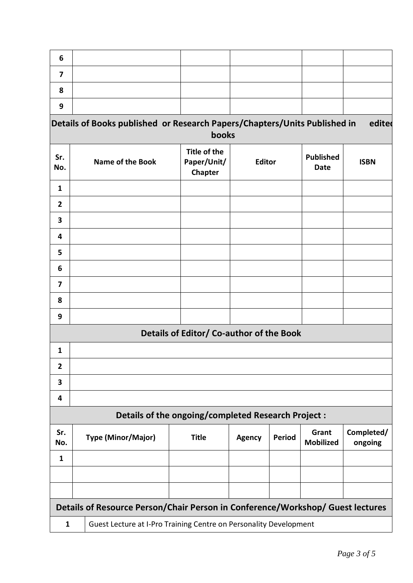| 6                                                                              |                                                                           |                                               |               |               |                           |                       |
|--------------------------------------------------------------------------------|---------------------------------------------------------------------------|-----------------------------------------------|---------------|---------------|---------------------------|-----------------------|
| 7                                                                              |                                                                           |                                               |               |               |                           |                       |
| 8                                                                              |                                                                           |                                               |               |               |                           |                       |
| 9                                                                              |                                                                           |                                               |               |               |                           |                       |
|                                                                                | Details of Books published or Research Papers/Chapters/Units Published in |                                               |               |               |                           | edited                |
|                                                                                |                                                                           | books                                         |               |               |                           |                       |
| Sr.<br>No.                                                                     | <b>Name of the Book</b>                                                   | <b>Title of the</b><br>Paper/Unit/<br>Chapter | <b>Editor</b> |               | <b>Published</b><br>Date  | <b>ISBN</b>           |
| $\mathbf{1}$                                                                   |                                                                           |                                               |               |               |                           |                       |
| $\overline{2}$                                                                 |                                                                           |                                               |               |               |                           |                       |
| 3                                                                              |                                                                           |                                               |               |               |                           |                       |
| 4                                                                              |                                                                           |                                               |               |               |                           |                       |
| 5                                                                              |                                                                           |                                               |               |               |                           |                       |
| 6                                                                              |                                                                           |                                               |               |               |                           |                       |
| $\overline{\mathbf{z}}$                                                        |                                                                           |                                               |               |               |                           |                       |
| 8                                                                              |                                                                           |                                               |               |               |                           |                       |
| 9                                                                              |                                                                           |                                               |               |               |                           |                       |
| Details of Editor/ Co-author of the Book                                       |                                                                           |                                               |               |               |                           |                       |
| 1                                                                              |                                                                           |                                               |               |               |                           |                       |
| $\overline{\mathbf{2}}$                                                        |                                                                           |                                               |               |               |                           |                       |
| 3                                                                              |                                                                           |                                               |               |               |                           |                       |
| 4                                                                              |                                                                           |                                               |               |               |                           |                       |
|                                                                                | Details of the ongoing/completed Research Project :                       |                                               |               |               |                           |                       |
| Sr.<br>No.                                                                     | <b>Type (Minor/Major)</b>                                                 | <b>Title</b>                                  | <b>Agency</b> | <b>Period</b> | Grant<br><b>Mobilized</b> | Completed/<br>ongoing |
| $\mathbf{1}$                                                                   |                                                                           |                                               |               |               |                           |                       |
|                                                                                |                                                                           |                                               |               |               |                           |                       |
|                                                                                |                                                                           |                                               |               |               |                           |                       |
| Details of Resource Person/Chair Person in Conference/Workshop/ Guest lectures |                                                                           |                                               |               |               |                           |                       |
| $\mathbf{1}$                                                                   | Guest Lecture at I-Pro Training Centre on Personality Development         |                                               |               |               |                           |                       |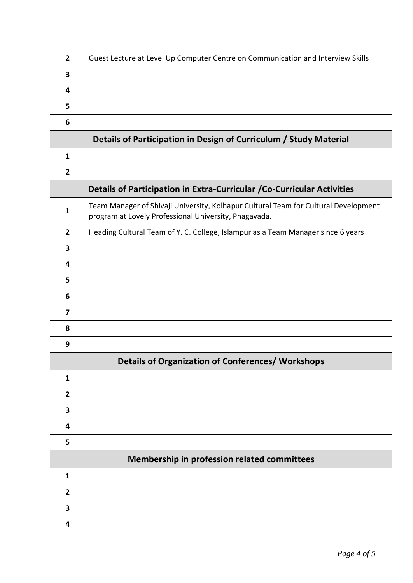| $\mathbf{2}$                                                            | Guest Lecture at Level Up Computer Centre on Communication and Interview Skills                                                              |  |  |  |  |
|-------------------------------------------------------------------------|----------------------------------------------------------------------------------------------------------------------------------------------|--|--|--|--|
| 3                                                                       |                                                                                                                                              |  |  |  |  |
| 4                                                                       |                                                                                                                                              |  |  |  |  |
| 5                                                                       |                                                                                                                                              |  |  |  |  |
| 6                                                                       |                                                                                                                                              |  |  |  |  |
|                                                                         | Details of Participation in Design of Curriculum / Study Material                                                                            |  |  |  |  |
| $\mathbf{1}$                                                            |                                                                                                                                              |  |  |  |  |
| $\mathbf{2}$                                                            |                                                                                                                                              |  |  |  |  |
| Details of Participation in Extra-Curricular / Co-Curricular Activities |                                                                                                                                              |  |  |  |  |
| $\mathbf{1}$                                                            | Team Manager of Shivaji University, Kolhapur Cultural Team for Cultural Development<br>program at Lovely Professional University, Phagavada. |  |  |  |  |
| $\overline{2}$                                                          | Heading Cultural Team of Y. C. College, Islampur as a Team Manager since 6 years                                                             |  |  |  |  |
| 3                                                                       |                                                                                                                                              |  |  |  |  |
| 4                                                                       |                                                                                                                                              |  |  |  |  |
| 5                                                                       |                                                                                                                                              |  |  |  |  |
| 6                                                                       |                                                                                                                                              |  |  |  |  |
| 7                                                                       |                                                                                                                                              |  |  |  |  |
| 8                                                                       |                                                                                                                                              |  |  |  |  |
| 9                                                                       |                                                                                                                                              |  |  |  |  |
|                                                                         | <b>Details of Organization of Conferences/ Workshops</b>                                                                                     |  |  |  |  |
| $\mathbf{1}$                                                            |                                                                                                                                              |  |  |  |  |
| $\overline{2}$                                                          |                                                                                                                                              |  |  |  |  |
| 3                                                                       |                                                                                                                                              |  |  |  |  |
| 4                                                                       |                                                                                                                                              |  |  |  |  |
| 5                                                                       |                                                                                                                                              |  |  |  |  |
| Membership in profession related committees                             |                                                                                                                                              |  |  |  |  |
| $\mathbf{1}$                                                            |                                                                                                                                              |  |  |  |  |
| $\overline{2}$                                                          |                                                                                                                                              |  |  |  |  |
| 3                                                                       |                                                                                                                                              |  |  |  |  |
| 4                                                                       |                                                                                                                                              |  |  |  |  |